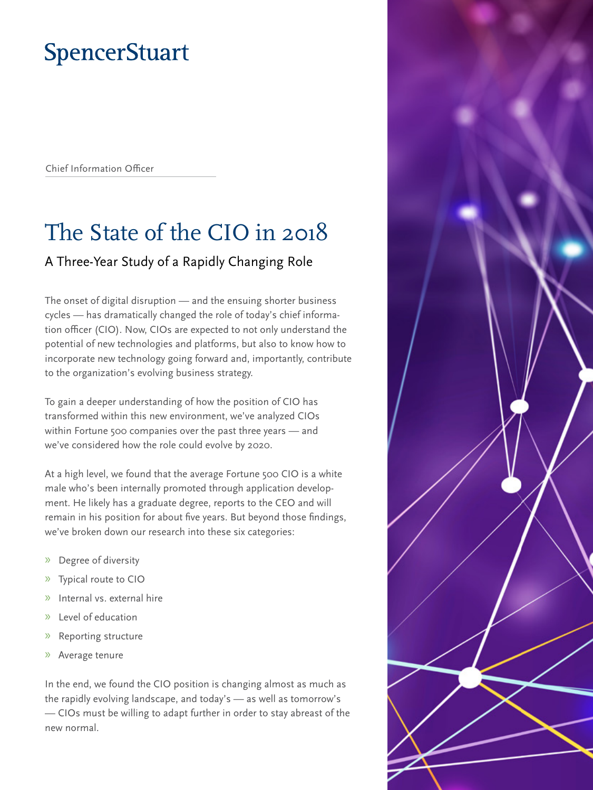# **SpencerStuart**

Chief Information Officer

# The State of the CIO in 2018

# A Three-Year Study of a Rapidly Changing Role

The onset of digital disruption — and the ensuing shorter business cycles — has dramatically changed the role of today's chief information officer (CIO). Now, CIOs are expected to not only understand the potential of new technologies and platforms, but also to know how to incorporate new technology going forward and, importantly, contribute to the organization's evolving business strategy.

To gain a deeper understanding of how the position of CIO has transformed within this new environment, we've analyzed CIOs within Fortune 500 companies over the past three years — and we've considered how the role could evolve by 2020.

At a high level, we found that the average Fortune 500 CIO is a white male who's been internally promoted through application development. He likely has a graduate degree, reports to the CEO and will remain in his position for about five years. But beyond those findings, we've broken down our research into these six categories:

- » Degree of diversity
- » Typical route to CIO
- » Internal vs. external hire
- » Level of education
- » Reporting structure
- » Average tenure

In the end, we found the CIO position is changing almost as much as the rapidly evolving landscape, and today's — as well as tomorrow's — CIOs must be willing to adapt further in order to stay abreast of the new normal.

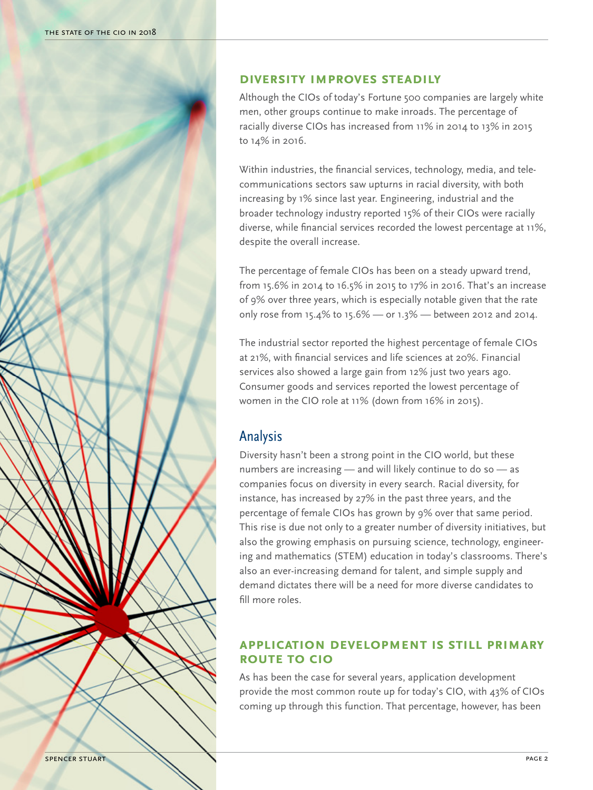

### **Diversity Improves Steadily**

Although the CIOs of today's Fortune 500 companies are largely white men, other groups continue to make inroads. The percentage of racially diverse CIOs has increased from 11% in 2014 to 13% in 2015 to 14% in 2016.

Within industries, the financial services, technology, media, and telecommunications sectors saw upturns in racial diversity, with both increasing by 1% since last year. Engineering, industrial and the broader technology industry reported 15% of their CIOs were racially diverse, while financial services recorded the lowest percentage at 11%, despite the overall increase.

The percentage of female CIOs has been on a steady upward trend, from 15.6% in 2014 to 16.5% in 2015 to 17% in 2016. That's an increase of 9% over three years, which is especially notable given that the rate only rose from 15.4% to 15.6% — or 1.3% — between 2012 and 2014.

The industrial sector reported the highest percentage of female CIOs at 21%, with financial services and life sciences at 20%. Financial services also showed a large gain from 12% just two years ago. Consumer goods and services reported the lowest percentage of women in the CIO role at 11% (down from 16% in 2015).

# Analysis

Diversity hasn't been a strong point in the CIO world, but these numbers are increasing — and will likely continue to do so — as companies focus on diversity in every search. Racial diversity, for instance, has increased by 27% in the past three years, and the percentage of female CIOs has grown by 9% over that same period. This rise is due not only to a greater number of diversity initiatives, but also the growing emphasis on pursuing science, technology, engineering and mathematics (STEM) education in today's classrooms. There's also an ever-increasing demand for talent, and simple supply and demand dictates there will be a need for more diverse candidates to fill more roles.

## **Application Development Is Still Primary Route to CIO**

As has been the case for several years, application development provide the most common route up for today's CIO, with 43% of CIOs coming up through this function. That percentage, however, has been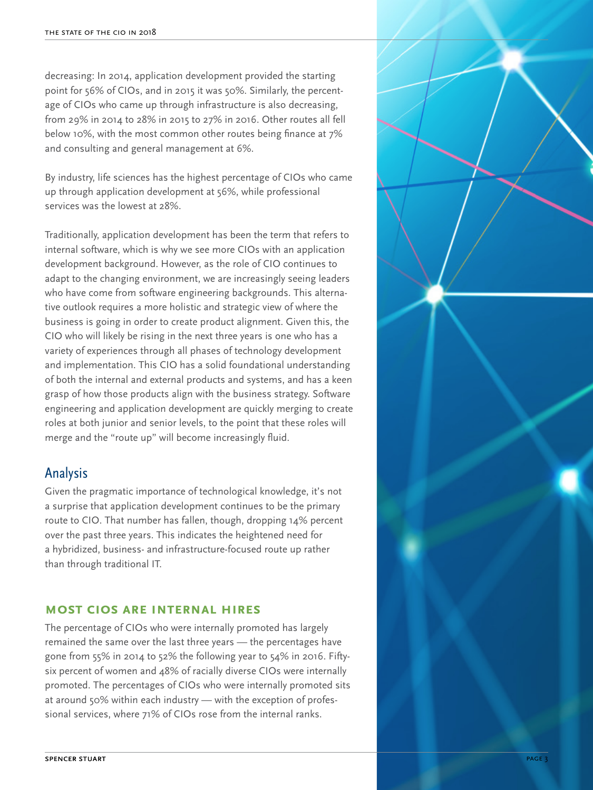decreasing: In 2014, application development provided the starting point for 56% of CIOs, and in 2015 it was 50%. Similarly, the percentage of CIOs who came up through infrastructure is also decreasing, from 29% in 2014 to 28% in 2015 to 27% in 2016. Other routes all fell below 10%, with the most common other routes being finance at 7% and consulting and general management at 6%.

By industry, life sciences has the highest percentage of CIOs who came up through application development at 56%, while professional services was the lowest at 28%.

Traditionally, application development has been the term that refers to internal software, which is why we see more CIOs with an application development background. However, as the role of CIO continues to adapt to the changing environment, we are increasingly seeing leaders who have come from software engineering backgrounds. This alternative outlook requires a more holistic and strategic view of where the business is going in order to create product alignment. Given this, the CIO who will likely be rising in the next three years is one who has a variety of experiences through all phases of technology development and implementation. This CIO has a solid foundational understanding of both the internal and external products and systems, and has a keen grasp of how those products align with the business strategy. Software engineering and application development are quickly merging to create roles at both junior and senior levels, to the point that these roles will merge and the "route up" will become increasingly fluid. THE STATE OF THE CIO IN 2018<br>decreasing: In 2014, appli<br>point for 56% of CIOs, an<br>age of CIOs who came up<br>from 29% in 2014 to 28%<br>below 10%, with the most<br>and consulting and gener<br>By industry, life sciences k<br>up through a

# Analysis

Given the pragmatic importance of technological knowledge, it's not a surprise that application development continues to be the primary route to CIO. That number has fallen, though, dropping 14% percent over the past three years. This indicates the heightened need for a hybridized, business- and infrastructure-focused route up rather than through traditional IT.

#### **Most CIOs Are Internal Hires**

The percentage of CIOs who were internally promoted has largely remained the same over the last three years — the percentages have gone from 55% in 2014 to 52% the following year to 54% in 2016. Fiftysix percent of women and 48% of racially diverse CIOs were internally promoted. The percentages of CIOs who were internally promoted sits at around 50% within each industry — with the exception of professional services, where 71% of CIOs rose from the internal ranks.

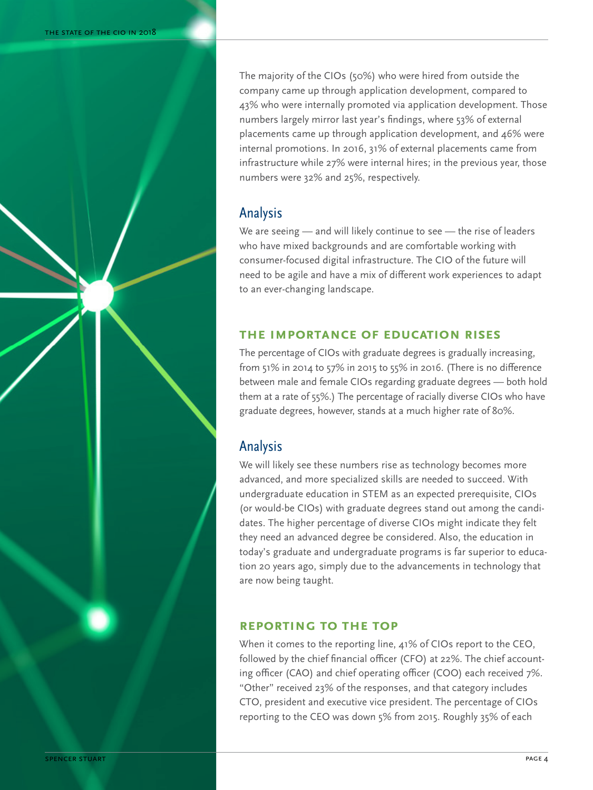The majority of the CIOs (50%) who were hired from outside the company came up through application development, compared to 43% who were internally promoted via application development. Those numbers largely mirror last year's findings, where 53% of external placements came up through application development, and 46% were internal promotions. In 2016, 31% of external placements came from infrastructure while 27% were internal hires; in the previous year, those numbers were 32% and 25%, respectively.

# Analysis

We are seeing — and will likely continue to see — the rise of leaders who have mixed backgrounds and are comfortable working with consumer-focused digital infrastructure. The CIO of the future will need to be agile and have a mix of different work experiences to adapt to an ever-changing landscape.

### **The Importance of Education Rises**

The percentage of CIOs with graduate degrees is gradually increasing, from 51% in 2014 to 57% in 2015 to 55% in 2016. (There is no difference between male and female CIOs regarding graduate degrees — both hold them at a rate of 55%.) The percentage of racially diverse CIOs who have graduate degrees, however, stands at a much higher rate of 80%.

# Analysis

We will likely see these numbers rise as technology becomes more advanced, and more specialized skills are needed to succeed. With undergraduate education in STEM as an expected prerequisite, CIOs (or would-be CIOs) with graduate degrees stand out among the candidates. The higher percentage of diverse CIOs might indicate they felt they need an advanced degree be considered. Also, the education in today's graduate and undergraduate programs is far superior to education 20 years ago, simply due to the advancements in technology that are now being taught.

### **Reporting to the Top**

When it comes to the reporting line, 41% of CIOs report to the CEO, followed by the chief financial officer (CFO) at 22%. The chief accounting officer (CAO) and chief operating officer (COO) each received 7%. "Other" received 23% of the responses, and that category includes CTO, president and executive vice president. The percentage of CIOs reporting to the CEO was down 5% from 2015. Roughly 35% of each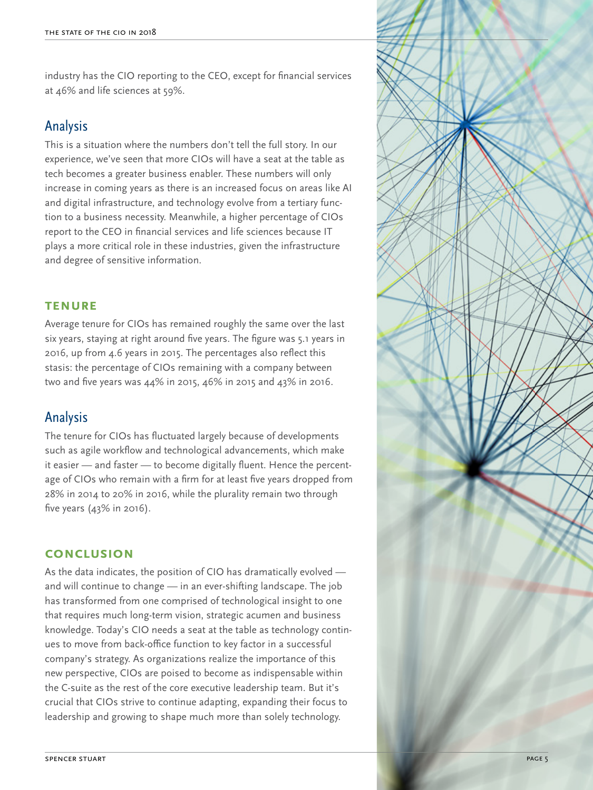industry has the CIO reporting to the CEO, except for financial services at 46% and life sciences at 59%.

# Analysis

This is a situation where the numbers don't tell the full story. In our experience, we've seen that more CIOs will have a seat at the table as tech becomes a greater business enabler. These numbers will only increase in coming years as there is an increased focus on areas like AI and digital infrastructure, and technology evolve from a tertiary function to a business necessity. Meanwhile, a higher percentage of CIOs report to the CEO in financial services and life sciences because IT plays a more critical role in these industries, given the infrastructure and degree of sensitive information.

### **Tenure**

Average tenure for CIOs has remained roughly the same over the last six years, staying at right around five years. The figure was 5.1 years in 2016, up from 4.6 years in 2015. The percentages also reflect this stasis: the percentage of CIOs remaining with a company between two and five years was 44% in 2015, 46% in 2015 and 43% in 2016.

# Analysis

The tenure for CIOs has fluctuated largely because of developments such as agile workflow and technological advancements, which make it easier — and faster — to become digitally fluent. Hence the percentage of CIOs who remain with a firm for at least five years dropped from 28% in 2014 to 20% in 2016, while the plurality remain two through five years (43% in 2016).

### **Conclusion**

As the data indicates, the position of CIO has dramatically evolved and will continue to change — in an ever-shifting landscape. The job has transformed from one comprised of technological insight to one that requires much long-term vision, strategic acumen and business knowledge. Today's CIO needs a seat at the table as technology continues to move from back-office function to key factor in a successful company's strategy. As organizations realize the importance of this new perspective, CIOs are poised to become as indispensable within the C-suite as the rest of the core executive leadership team. But it's crucial that CIOs strive to continue adapting, expanding their focus to leadership and growing to shape much more than solely technology.